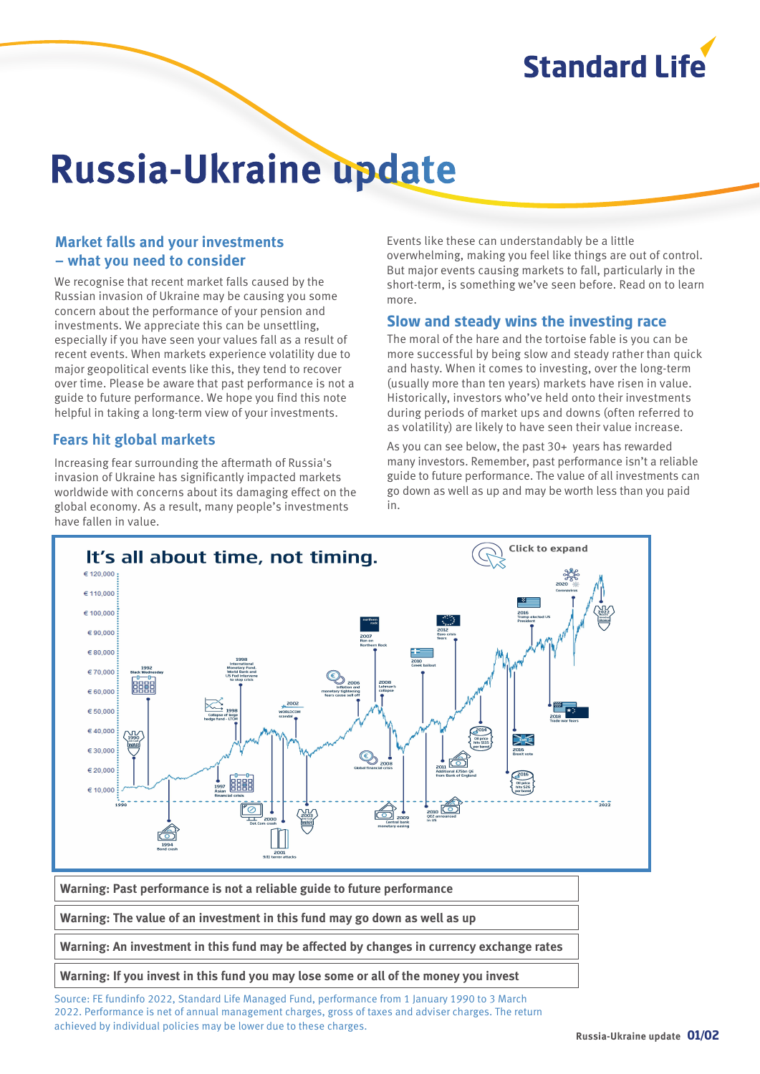

# **Russia-Ukraine update**

### **Market falls and your investments – what you need to consider**

We recognise that recent market falls caused by the Russian invasion of Ukraine may be causing you some concern about the performance of your pension and investments. We appreciate this can be unsettling, especially if you have seen your values fall as a result of recent events. When markets experience volatility due to major geopolitical events like this, they tend to recover over time. Please be aware that past performance is not a guide to future performance. We hope you find this note helpful in taking a long-term view of your investments.

#### **Fears hit global markets**

Increasing fear surrounding the aftermath of Russia's invasion of Ukraine has significantly impacted markets worldwide with concerns about its damaging effect on the global economy. As a result, many people's investments have fallen in value.

Events like these can understandably be a little overwhelming, making you feel like things are out of control. But major events causing markets to fall, particularly in the short-term, is something we've seen before. Read on to learn more.

#### **Slow and steady wins the investing race**

The moral of the hare and the tortoise fable is you can be more successful by being slow and steady rather than quick and hasty. When it comes to investing, over the long-term (usually more than ten years) markets have risen in value. Historically, investors who've held onto their investments during periods of market ups and downs (often referred to as volatility) are likely to have seen their value increase.

As you can see below, the past 30+ years has rewarded many investors. Remember, past performance isn't a reliable guide to future performance. The value of all investments can go down as well as up and may be worth less than you paid in.



Source: FE fundinfo 2022, Standard Life Managed Fund, performance from 1 January 1990 to 3 March 2022. Performance is net of annual management charges, gross of taxes and adviser charges. The return achieved by individual policies may be lower due to these charges.